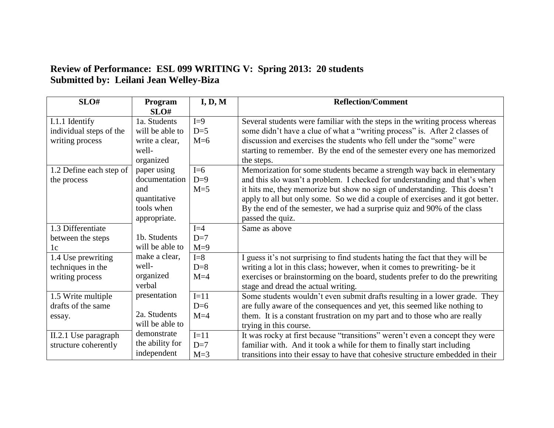## **Review of Performance: ESL 099 WRITING V: Spring 2013: 20 students Submitted by: Leilani Jean Welley-Biza**

| SLO#                                                         | Program<br>SLO#                                                                   | I, D, M                   | <b>Reflection/Comment</b>                                                                                                                                                                                                                                                                                                                                                                                           |
|--------------------------------------------------------------|-----------------------------------------------------------------------------------|---------------------------|---------------------------------------------------------------------------------------------------------------------------------------------------------------------------------------------------------------------------------------------------------------------------------------------------------------------------------------------------------------------------------------------------------------------|
| I.1.1 Identify<br>individual steps of the<br>writing process | 1a. Students<br>will be able to<br>write a clear,<br>well-<br>organized           | $I=9$<br>$D=5$<br>$M=6$   | Several students were familiar with the steps in the writing process whereas<br>some didn't have a clue of what a "writing process" is. After 2 classes of<br>discussion and exercises the students who fell under the "some" were<br>starting to remember. By the end of the semester every one has memorized<br>the steps.                                                                                        |
| 1.2 Define each step of<br>the process                       | paper using<br>documentation<br>and<br>quantitative<br>tools when<br>appropriate. | $I=6$<br>$D=9$<br>$M=5$   | Memorization for some students became a strength way back in elementary<br>and this slo wasn't a problem. I checked for understanding and that's when<br>it hits me, they memorize but show no sign of understanding. This doesn't<br>apply to all but only some. So we did a couple of exercises and it got better.<br>By the end of the semester, we had a surprise quiz and 90% of the class<br>passed the quiz. |
| 1.3 Differentiate<br>between the steps<br>1 <sub>c</sub>     | 1b. Students<br>will be able to                                                   | $I=4$<br>$D=7$<br>$M=9$   | Same as above                                                                                                                                                                                                                                                                                                                                                                                                       |
| 1.4 Use prewriting<br>techniques in the<br>writing process   | make a clear,<br>well-<br>organized<br>verbal                                     | $I = 8$<br>$D=8$<br>$M=4$ | I guess it's not surprising to find students hating the fact that they will be<br>writing a lot in this class; however, when it comes to prewriting- be it<br>exercises or brainstorming on the board, students prefer to do the prewriting<br>stage and dread the actual writing.                                                                                                                                  |
| 1.5 Write multiple<br>drafts of the same<br>essay.           | presentation<br>2a. Students<br>will be able to                                   | $I=11$<br>$D=6$<br>$M=4$  | Some students wouldn't even submit drafts resulting in a lower grade. They<br>are fully aware of the consequences and yet, this seemed like nothing to<br>them. It is a constant frustration on my part and to those who are really<br>trying in this course.                                                                                                                                                       |
| II.2.1 Use paragraph<br>structure coherently                 | demonstrate<br>the ability for<br>independent                                     | $I=11$<br>$D=7$<br>$M=3$  | It was rocky at first because "transitions" weren't even a concept they were<br>familiar with. And it took a while for them to finally start including<br>transitions into their essay to have that cohesive structure embedded in their                                                                                                                                                                            |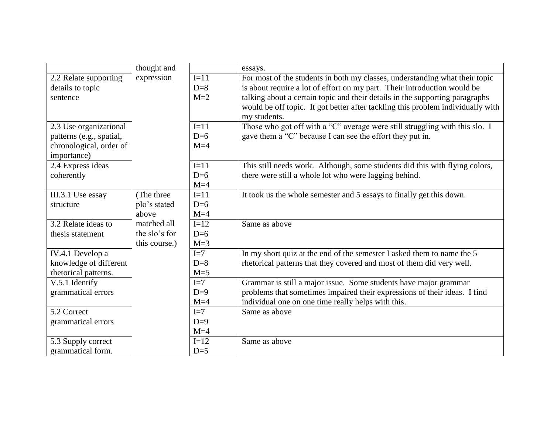|                          | thought and   |        | essays.                                                                         |
|--------------------------|---------------|--------|---------------------------------------------------------------------------------|
| 2.2 Relate supporting    | expression    | $I=11$ | For most of the students in both my classes, understanding what their topic     |
| details to topic         |               | $D=8$  | is about require a lot of effort on my part. Their introduction would be        |
| sentence                 |               | $M=2$  | talking about a certain topic and their details in the supporting paragraphs    |
|                          |               |        | would be off topic. It got better after tackling this problem individually with |
|                          |               |        | my students.                                                                    |
| 2.3 Use organizational   |               | $I=11$ | Those who got off with a "C" average were still struggling with this slo. I     |
| patterns (e.g., spatial, |               | $D=6$  | gave them a "C" because I can see the effort they put in.                       |
| chronological, order of  |               | $M=4$  |                                                                                 |
| importance)              |               |        |                                                                                 |
| 2.4 Express ideas        |               | $I=11$ | This still needs work. Although, some students did this with flying colors,     |
| coherently               |               | $D=6$  | there were still a whole lot who were lagging behind.                           |
|                          |               | $M=4$  |                                                                                 |
| III.3.1 Use essay        | (The three    | $I=11$ | It took us the whole semester and 5 essays to finally get this down.            |
| structure                | plo's stated  | $D=6$  |                                                                                 |
|                          | above         | $M=4$  |                                                                                 |
| 3.2 Relate ideas to      | matched all   | $I=12$ | Same as above                                                                   |
| thesis statement         | the slo's for | $D=6$  |                                                                                 |
|                          | this course.) | $M=3$  |                                                                                 |
| IV.4.1 Develop a         |               | $I=7$  | In my short quiz at the end of the semester I asked them to name the 5          |
| knowledge of different   |               | $D=8$  | rhetorical patterns that they covered and most of them did very well.           |
| rhetorical patterns.     |               | $M=5$  |                                                                                 |
| V.5.1 Identify           |               | $I=7$  | Grammar is still a major issue. Some students have major grammar                |
| grammatical errors       |               | $D=9$  | problems that sometimes impaired their expressions of their ideas. I find       |
|                          |               | $M=4$  | individual one on one time really helps with this.                              |
| 5.2 Correct              |               | $I=7$  | Same as above                                                                   |
| grammatical errors       |               | $D=9$  |                                                                                 |
|                          |               | $M=4$  |                                                                                 |
| 5.3 Supply correct       |               | $I=12$ | Same as above                                                                   |
| grammatical form.        |               | $D=5$  |                                                                                 |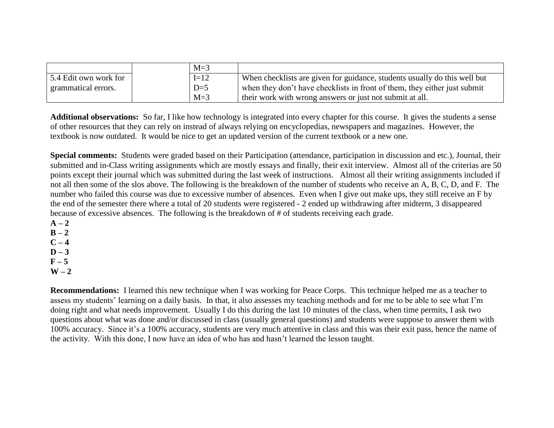|                       | $M=3$  |                                                                           |
|-----------------------|--------|---------------------------------------------------------------------------|
| 5.4 Edit own work for | $I=12$ | When checklists are given for guidance, students usually do this well but |
| grammatical errors.   | $D=5$  | when they don't have checklists in front of them, they either just submit |
|                       | $M=3$  | their work with wrong answers or just not submit at all.                  |

**Additional observations:** So far, I like how technology is integrated into every chapter for this course. It gives the students a sense of other resources that they can rely on instead of always relying on encyclopedias, newspapers and magazines. However, the textbook is now outdated. It would be nice to get an updated version of the current textbook or a new one.

**Special comments:** Students were graded based on their Participation (attendance, participation in discussion and etc.), Journal, their submitted and in-Class writing assignments which are mostly essays and finally, their exit interview. Almost all of the criterias are 50 points except their journal which was submitted during the last week of instructions. Almost all their writing assignments included if not all then some of the slos above. The following is the breakdown of the number of students who receive an A, B, C, D, and F. The number who failed this course was due to excessive number of absences. Even when I give out make ups, they still receive an F by the end of the semester there where a total of 20 students were registered - 2 ended up withdrawing after midterm, 3 disappeared because of excessive absences. The following is the breakdown of # of students receiving each grade.

 $A - 2$  $B - 2$  $C - 4$  $D - 3$  $F - 5$  $W - 2$ 

**Recommendations:** I learned this new technique when I was working for Peace Corps. This technique helped me as a teacher to assess my students' learning on a daily basis. In that, it also assesses my teaching methods and for me to be able to see what I'm doing right and what needs improvement. Usually I do this during the last 10 minutes of the class, when time permits, I ask two questions about what was done and/or discussed in class (usually general questions) and students were suppose to answer them with 100% accuracy. Since it's a 100% accuracy, students are very much attentive in class and this was their exit pass, hence the name of the activity. With this done, I now have an idea of who has and hasn't learned the lesson taught.